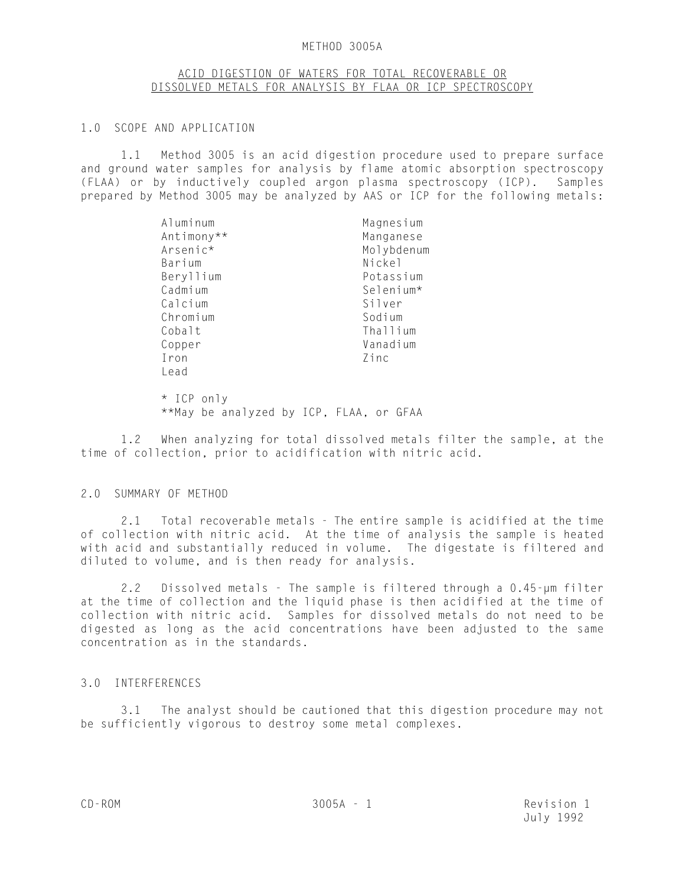## METHOD 3005A

# ACID DIGESTION OF WATERS FOR TOTAL RECOVERABLE OR DISSOLVED METALS FOR ANALYSIS BY FLAA OR ICP SPECTROSCOPY

#### 1.0 SCOPE AND APPLICATION

1.1 Method 3005 is an acid digestion procedure used to prepare surface and ground water samples for analysis by flame atomic absorption spectroscopy (FLAA) or by inductively coupled argon plasma spectroscopy (ICP). Samples prepared by Method 3005 may be analyzed by AAS or ICP for the following metals:

| Aluminum   | Magnesium  |
|------------|------------|
| Antimony** | Manganese  |
| Arsenic*   | Molybdenum |
| Barium     | Nickel     |
| Beryllium  | Potassium  |
| Cadmium    | Selenium*  |
| Calcium    | Silver     |
| Chromium   | Sodium     |
| Cobalt     | Thallium   |
| Copper     | Vanadium   |
| Iron       | Zinc       |
| Lead       |            |
|            |            |

\* ICP only \*\*May be analyzed by ICP, FLAA, or GFAA

1.2 When analyzing for total dissolved metals filter the sample, at the time of collection, prior to acidification with nitric acid.

#### 2.0 SUMMARY OF METHOD

2.1 Total recoverable metals - The entire sample is acidified at the time of collection with nitric acid. At the time of analysis the sample is heated with acid and substantially reduced in volume. The digestate is filtered and diluted to volume, and is then ready for analysis.

2.2 Dissolved metals - The sample is filtered through a 0.45-µm filter at the time of collection and the liquid phase is then acidified at the time of collection with nitric acid. Samples for dissolved metals do not need to be digested as long as the acid concentrations have been adjusted to the same concentration as in the standards.

# 3.0 INTERFERENCES

 3.1 The analyst should be cautioned that this digestion procedure may not be sufficiently vigorous to destroy some metal complexes.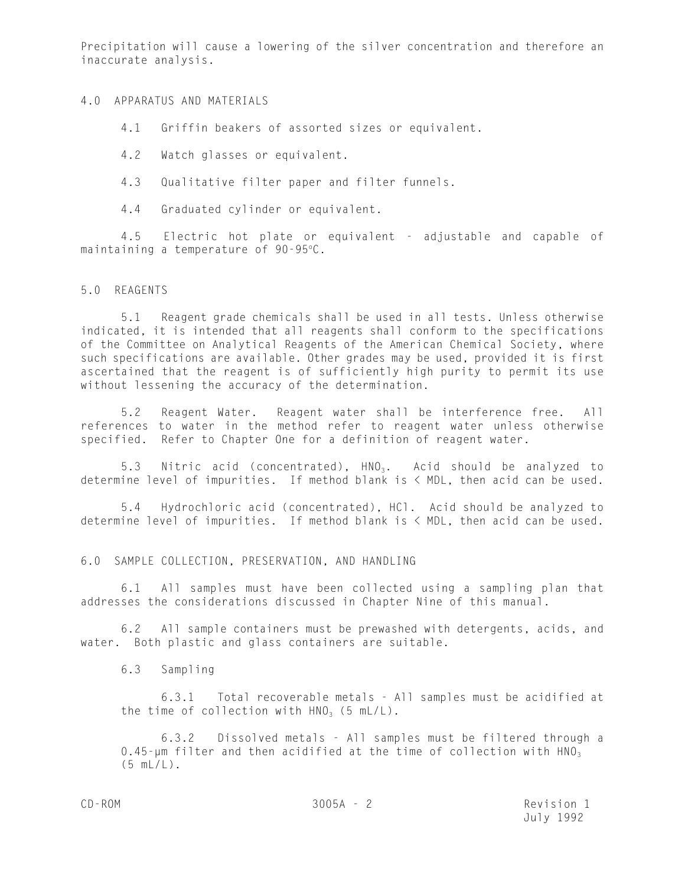Precipitation will cause a lowering of the silver concentration and therefore an inaccurate analysis.

4.0 APPARATUS AND MATERIALS

4.1 Griffin beakers of assorted sizes or equivalent.

4.2 Watch glasses or equivalent.

4.3 Qualitative filter paper and filter funnels.

4.4 Graduated cylinder or equivalent.

4.5 Electric hot plate or equivalent - adjustable and capable of maintaining a temperature of  $90-95$ °C.

#### 5.0 REAGENTS

 5.1 Reagent grade chemicals shall be used in all tests. Unless otherwise indicated, it is intended that all reagents shall conform to the specifications of the Committee on Analytical Reagents of the American Chemical Society, where such specifications are available. Other grades may be used, provided it is first ascertained that the reagent is of sufficiently high purity to permit its use without lessening the accuracy of the determination.

5.2 Reagent Water. Reagent water shall be interference free. All references to water in the method refer to reagent water unless otherwise specified. Refer to Chapter One for a definition of reagent water.

5.3 Nitric acid (concentrated),  $HNO<sub>3</sub>$ . Acid should be analyzed to determine level of impurities. If method blank is < MDL, then acid can be used.

 5.4 Hydrochloric acid (concentrated), HCl. Acid should be analyzed to determine level of impurities. If method blank is < MDL, then acid can be used.

6.0 SAMPLE COLLECTION, PRESERVATION, AND HANDLING

 6.1 All samples must have been collected using a sampling plan that addresses the considerations discussed in Chapter Nine of this manual.

 6.2 All sample containers must be prewashed with detergents, acids, and water. Both plastic and glass containers are suitable.

6.3 Sampling

6.3.1 Total recoverable metals - All samples must be acidified at the time of collection with  $HNO<sub>3</sub>$  (5 mL/L).

6.3.2 Dissolved metals - All samples must be filtered through a 0.45-µm filter and then acidified at the time of collection with  $HNO<sub>3</sub>$  $(5 \text{ ml } / | )$ .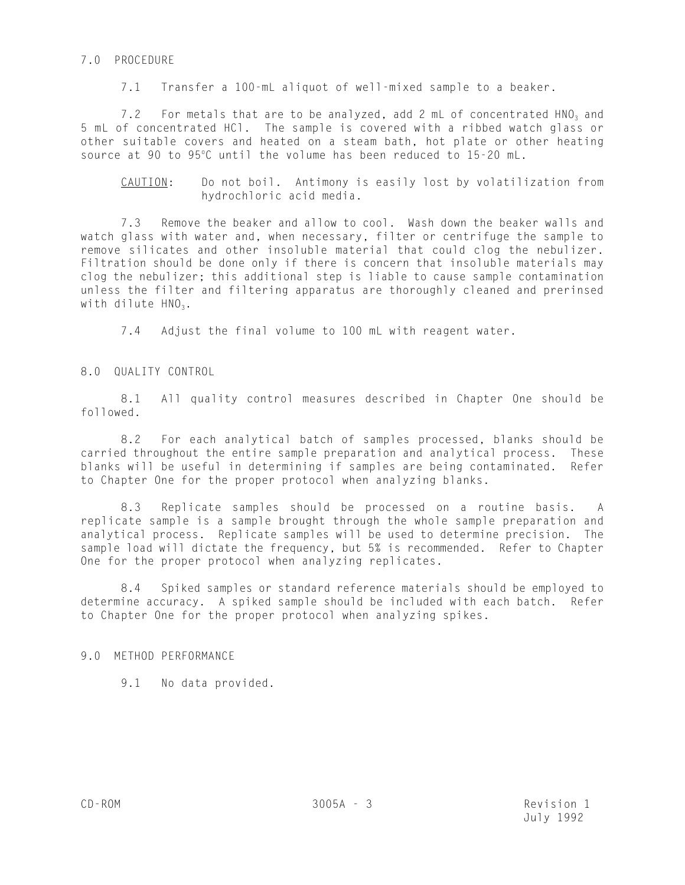## 7.0 PROCEDURE

7.1 Transfer a 100-mL aliquot of well-mixed sample to a beaker.

7.2 For metals that are to be analyzed, add 2 mL of concentrated  $HNO<sub>3</sub>$  and 5 mL of concentrated HCl. The sample is covered with a ribbed watch glass or other suitable covers and heated on a steam bath, hot plate or other heating source at 90 to 95 $°C$  until the volume has been reduced to 15-20 mL.

CAUTION: Do not boil. Antimony is easily lost by volatilization from hydrochloric acid media.

 7.3 Remove the beaker and allow to cool. Wash down the beaker walls and watch glass with water and, when necessary, filter or centrifuge the sample to remove silicates and other insoluble material that could clog the nebulizer. Filtration should be done only if there is concern that insoluble materials may clog the nebulizer; this additional step is liable to cause sample contamination unless the filter and filtering apparatus are thoroughly cleaned and prerinsed with dilute  $HNO<sub>3</sub>$ .

7.4 Adjust the final volume to 100 mL with reagent water.

8.0 QUALITY CONTROL

8.1 All quality control measures described in Chapter One should be followed.

8.2 For each analytical batch of samples processed, blanks should be carried throughout the entire sample preparation and analytical process. These blanks will be useful in determining if samples are being contaminated. Refer to Chapter One for the proper protocol when analyzing blanks.

 8.3 Replicate samples should be processed on a routine basis. A replicate sample is a sample brought through the whole sample preparation and analytical process. Replicate samples will be used to determine precision. The sample load will dictate the frequency, but 5% is recommended. Refer to Chapter One for the proper protocol when analyzing replicates.

 8.4 Spiked samples or standard reference materials should be employed to determine accuracy. A spiked sample should be included with each batch. Refer to Chapter One for the proper protocol when analyzing spikes.

#### 9.0 METHOD PERFORMANCE

9.1 No data provided.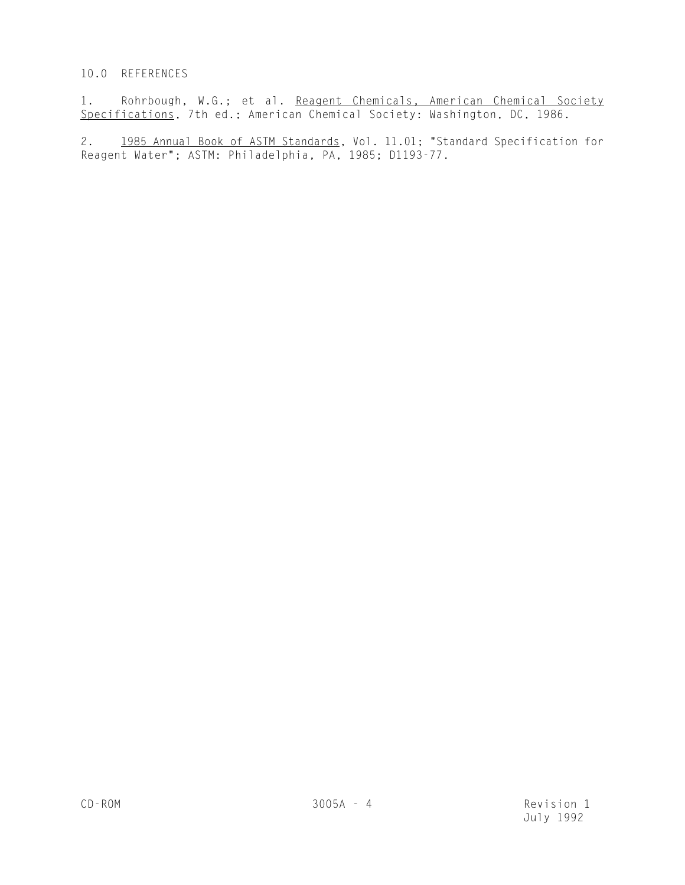# 10.0 REFERENCES

1. Rohrbough, W.G.; et al. Reagent Chemicals, American Chemical Society Specifications, 7th ed.; American Chemical Society: Washington, DC, 1986.

2. 1985 Annual Book of ASTM Standards, Vol. 11.01; "Standard Specification for Reagent Water"; ASTM: Philadelphia, PA, 1985; D1193-77.